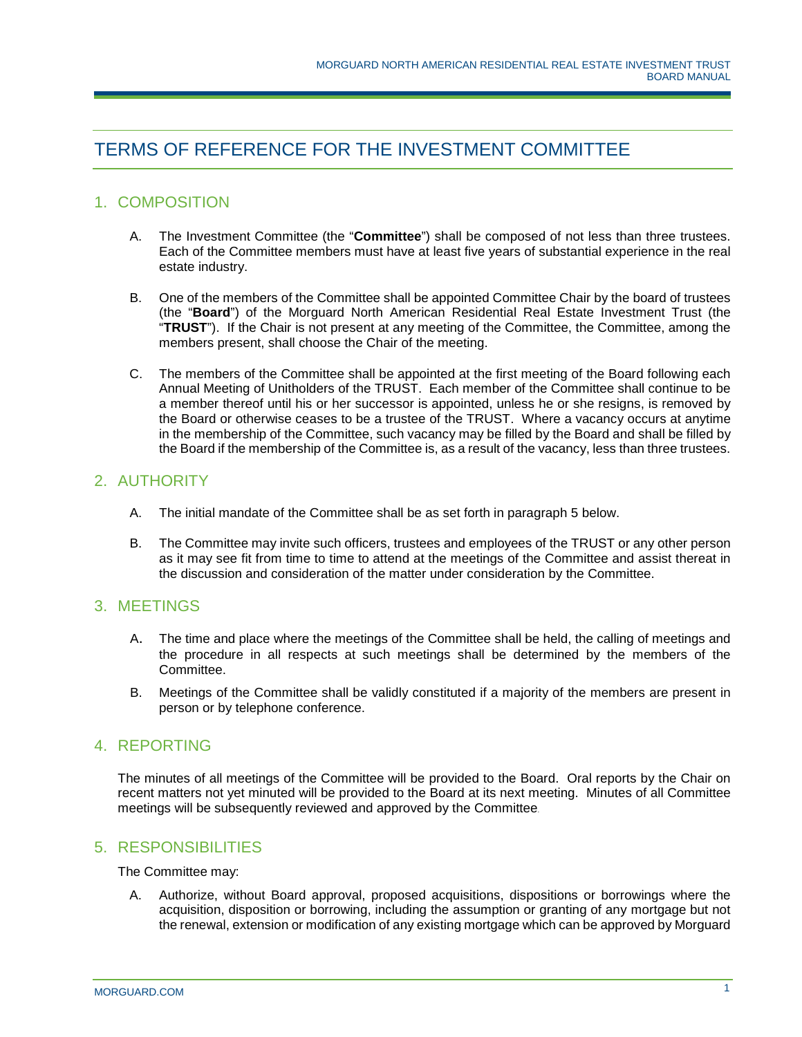# TERMS OF REFERENCE FOR THE INVESTMENT COMMITTEE

## 1. COMPOSITION

- A. The Investment Committee (the "**Committee**") shall be composed of not less than three trustees. Each of the Committee members must have at least five years of substantial experience in the real estate industry.
- B. One of the members of the Committee shall be appointed Committee Chair by the board of trustees (the "**Board**") of the Morguard North American Residential Real Estate Investment Trust (the "**TRUST**"). If the Chair is not present at any meeting of the Committee, the Committee, among the members present, shall choose the Chair of the meeting.
- C. The members of the Committee shall be appointed at the first meeting of the Board following each Annual Meeting of Unitholders of the TRUST. Each member of the Committee shall continue to be a member thereof until his or her successor is appointed, unless he or she resigns, is removed by the Board or otherwise ceases to be a trustee of the TRUST. Where a vacancy occurs at anytime in the membership of the Committee, such vacancy may be filled by the Board and shall be filled by the Board if the membership of the Committee is, as a result of the vacancy, less than three trustees.

### 2. AUTHORITY

- A. The initial mandate of the Committee shall be as set forth in paragraph 5 below.
- B. The Committee may invite such officers, trustees and employees of the TRUST or any other person as it may see fit from time to time to attend at the meetings of the Committee and assist thereat in the discussion and consideration of the matter under consideration by the Committee.

#### 3. MEETINGS

- A. The time and place where the meetings of the Committee shall be held, the calling of meetings and the procedure in all respects at such meetings shall be determined by the members of the Committee.
- B. Meetings of the Committee shall be validly constituted if a majority of the members are present in person or by telephone conference.

#### 4. REPORTING

The minutes of all meetings of the Committee will be provided to the Board. Oral reports by the Chair on recent matters not yet minuted will be provided to the Board at its next meeting. Minutes of all Committee meetings will be subsequently reviewed and approved by the Committee.

#### 5. RESPONSIBILITIES

The Committee may:

A. Authorize, without Board approval, proposed acquisitions, dispositions or borrowings where the acquisition, disposition or borrowing, including the assumption or granting of any mortgage but not the renewal, extension or modification of any existing mortgage which can be approved by Morguard